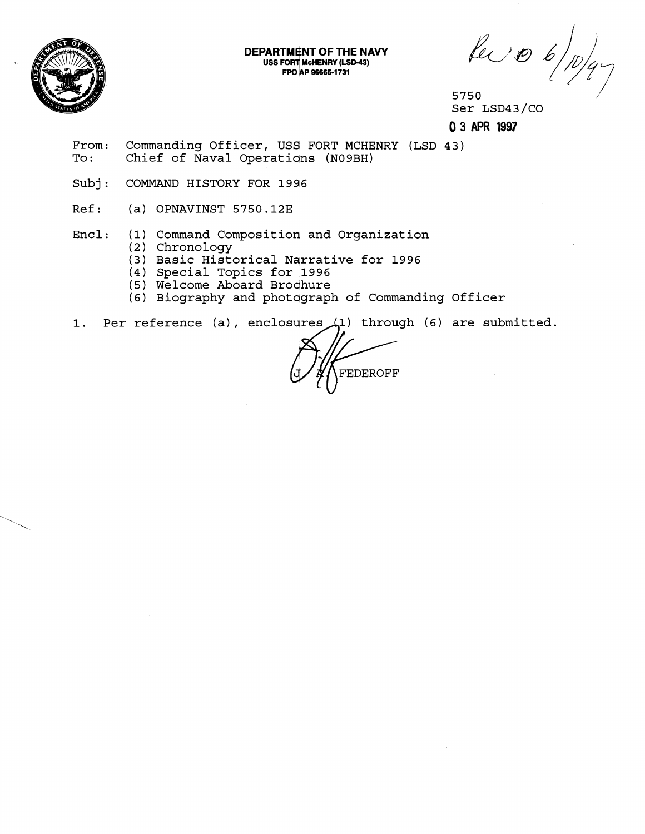

**DEPARTMENT OF THE NAVY USS FORT McHENRY (LSD-43) FPO AP 96665-1731** 

 $\mu$  to  $\frac{1}{p/q}$ 

Ser LSD43/CO

**0 3 APR 1997** 

- From: Commanding Officer, USS FORT MCHENRY (LSD 43) To: Chief of Naval Operations (N09BH)
- Subj: COMMAND HISTORY FOR 1996
- Ref: (a) OPNAVINST 5750.12E

## Encl: (1) Command Composition and Organization

- (2 ) Chronology
- (3) Basic Historical Narrative for 1996
- (4) Special Topics for 1996
- ( 5 ) Welcome Aboard Brochure
- (6) Biography and photograph of Commanding Officer

(3) Basic Historical Narrative for 1996<br>
(5) Welcome Aboard Brochure<br>
(6) Biography and photograph of Commanding Officer<br>
1. Per reference (a), enclosures (1) through (6) are submitted.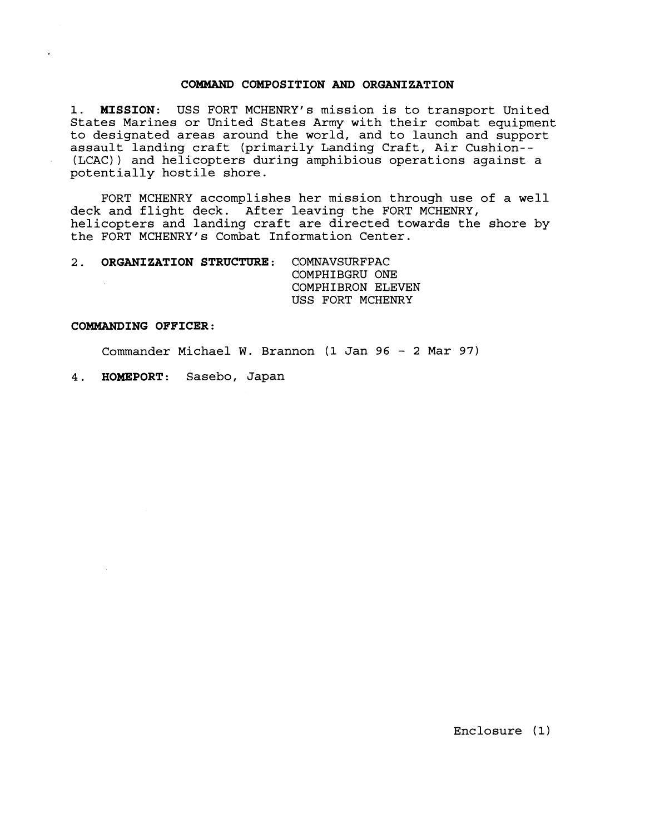### **COMMAND COMPOSITION AND ORGANIZATION**

**1. MISSION:** USS FORT MCHENRY's mission is to transport United States Marines or United States Army with their combat equipment to designated areas around the world, and to launch and support assault landing craft (primarily Landing Craft, Air Cushion-- (LCAC)) and helicopters during amphibious operations against a potentially hostile shore.

FORT MCHENRY accomplishes her mission through use of a well deck and flight deck. After leaving the FORT MCHENRY, helicopters and landing craft are directed towards the shore by the FORT MCHENRY's Combat Information Center.

**2. ORGANIZATION STRUCTURE:** COMNAVSURFPAC COMPHIBGRU ONE COMPHIBRON ELEVEN USS FORT MCHENRY

### **COMMANDING OFFICER:**

Commander Michael W. Brannon (1 Jan 96 - 2 Mar 97)

**4. HOMEPORT:** Sasebo, Japan

Enclosure (1)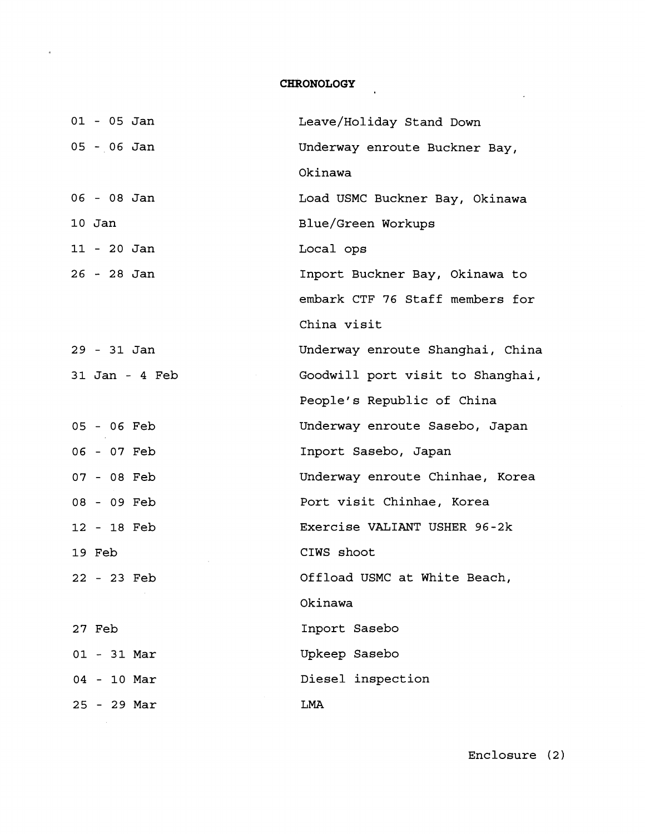# **CHRONOLOGY**

 $\sigma$ 

| $01 - 05$ Jan  | Leave/Holiday Stand Down         |
|----------------|----------------------------------|
| 05 - 06 Jan    | Underway enroute Buckner Bay,    |
|                | Okinawa                          |
| 06 - 08 Jan    | Load USMC Buckner Bay, Okinawa   |
| $10$ Jan       | Blue/Green Workups               |
| $11 - 20$ Jan  | Local ops                        |
| 26 - 28 Jan    | Inport Buckner Bay, Okinawa to   |
|                | embark CTF 76 Staff members for  |
|                | China visit                      |
| 29 - 31 Jan    | Underway enroute Shanghai, China |
| 31 Jan - 4 Feb | Goodwill port visit to Shanghai, |
|                | People's Republic of China       |
| 05 - 06 Feb    | Underway enroute Sasebo, Japan   |
| 06 - 07 Feb    | Inport Sasebo, Japan             |
| 07 - 08 Feb    | Underway enroute Chinhae, Korea  |
| 08 - 09 Feb    | Port visit Chinhae, Korea        |
| 12 - 18 Feb    | Exercise VALIANT USHER 96-2k     |
| 19 Feb         | CIWS shoot                       |
| 22 - 23 Feb    | Offload USMC at White Beach,     |
|                | Okinawa                          |
| 27 Feb         | Inport Sasebo                    |
| $01 - 31$ Mar  | Upkeep Sasebo                    |
| $04 - 10$ Mar  | Diesel inspection                |
| $25 - 29$ Mar  | LMA                              |

Enclosure **(2)** 

 $\mathcal{L}^{\text{max}}_{\text{max}}$  , where  $\mathcal{L}^{\text{max}}_{\text{max}}$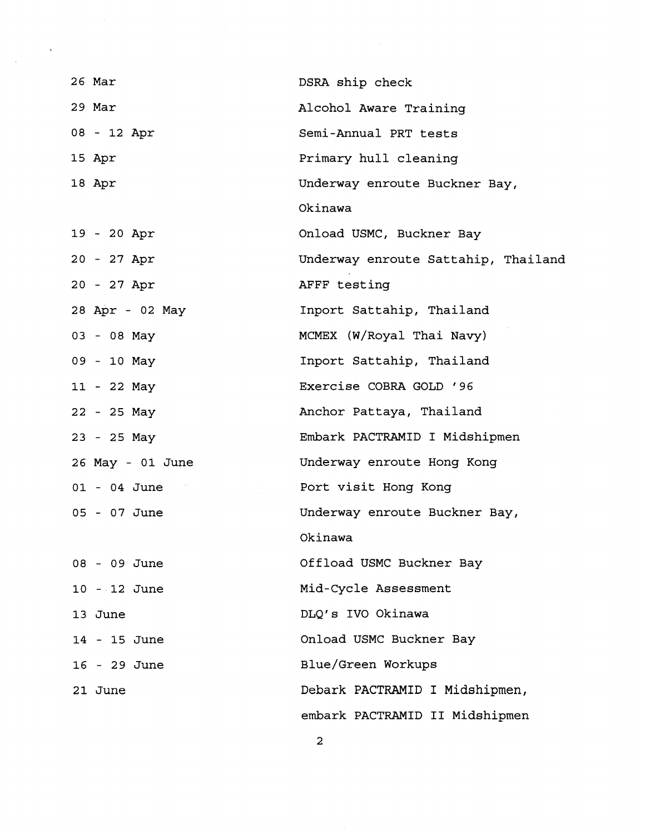| 26 Mar           | DSRA ship check                     |
|------------------|-------------------------------------|
| 29 Mar           | Alcohol Aware Training              |
| 08 - 12 Apr      | Semi-Annual PRT tests               |
| 15 Apr           | Primary hull cleaning               |
| 18 Apr           | Underway enroute Buckner Bay,       |
|                  | Okinawa                             |
| 19 - 20 Apr      | Onload USMC, Buckner Bay            |
| 20 - 27 Apr      | Underway enroute Sattahip, Thailand |
| 20 - 27 Apr      | AFFF testing                        |
| 28 Apr - 02 May  | Inport Sattahip, Thailand           |
| 03 - 08 May      | MCMEX (W/Royal Thai Navy)           |
| 09 - 10 May      | Inport Sattahip, Thailand           |
| 11 - 22 May      | Exercise COBRA GOLD '96             |
| 22 - 25 May      | Anchor Pattaya, Thailand            |
| 23 - 25 May      | Embark PACTRAMID I Midshipmen       |
| 26 May - 01 June | Underway enroute Hong Kong          |
| $01 - 04$ June   | Port visit Hong Kong                |
| 05 - 07 June     | Underway enroute Buckner Bay,       |
|                  | Okinawa                             |
| 08 - 09 June     | Offload USMC Buckner Bay            |
| 10 - 12 June     | Mid-Cycle Assessment                |
| 13 June          | DLQ's IVO Okinawa                   |
| 14 - 15 June     | Onload USMC Buckner Bay             |
| 16 - 29 June     | Blue/Green Workups                  |
| 21 June          | Debark PACTRAMID I Midshipmen,      |
|                  | embark PACTRAMID II Midshipmen      |
|                  |                                     |

 $\bar{\beta}$ 

 $\ddot{\phantom{0}}$ 

2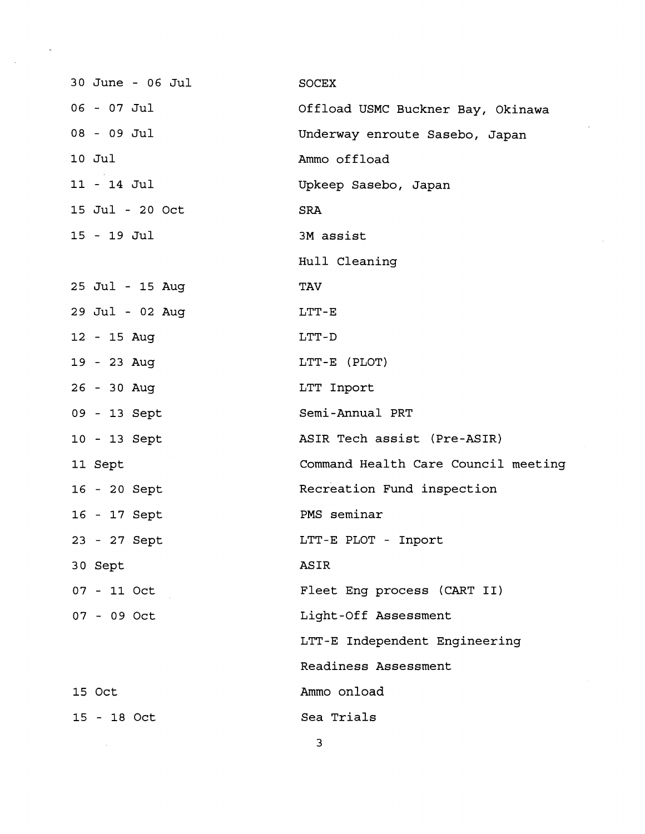| 30 June - 06 Jul | <b>SOCEX</b>                        |
|------------------|-------------------------------------|
| $06 - 07$ Jul    | Offload USMC Buckner Bay, Okinawa   |
| 08 - 09 Jul      | Underway enroute Sasebo, Japan      |
| 10 Jul           | Ammo offload                        |
| $11 - 14$ Jul    | Upkeep Sasebo, Japan                |
| 15 Jul - 20 Oct  | <b>SRA</b>                          |
| $15 - 19$ Jul    | 3M assist                           |
|                  | Hull Cleaning                       |
| 25 Jul - 15 Aug  | <b>TAV</b>                          |
| 29 Jul - 02 Aug  | $LTT-E$                             |
| 12 - 15 Aug      | LTT-D                               |
| 19 - 23 Aug      | LTT-E (PLOT)                        |
| 26 - 30 Aug      | LTT Inport                          |
| 09 - 13 Sept     | Semi-Annual PRT                     |
| 10 - 13 Sept     | ASIR Tech assist (Pre-ASIR)         |
| 11 Sept          | Command Health Care Council meeting |
| 16 - 20 Sept     | Recreation Fund inspection          |
| 16 - 17 Sept     | PMS seminar                         |
| 23 - 27 Sept     | LTT-E PLOT - Inport                 |
| 30 Sept          | ASIR                                |
| 07 - 11 Oct      | Fleet Eng process (CART II)         |
| $07 - 09$ Oct    | Light-Off Assessment                |
|                  | LTT-E Independent Engineering       |
|                  | Readiness Assessment                |
| 15 Oct           | Ammo onload                         |
| 15 - 18 Oct      | Sea Trials                          |

l,

 $\bar{z}$ 

 $\overline{\phantom{a}}$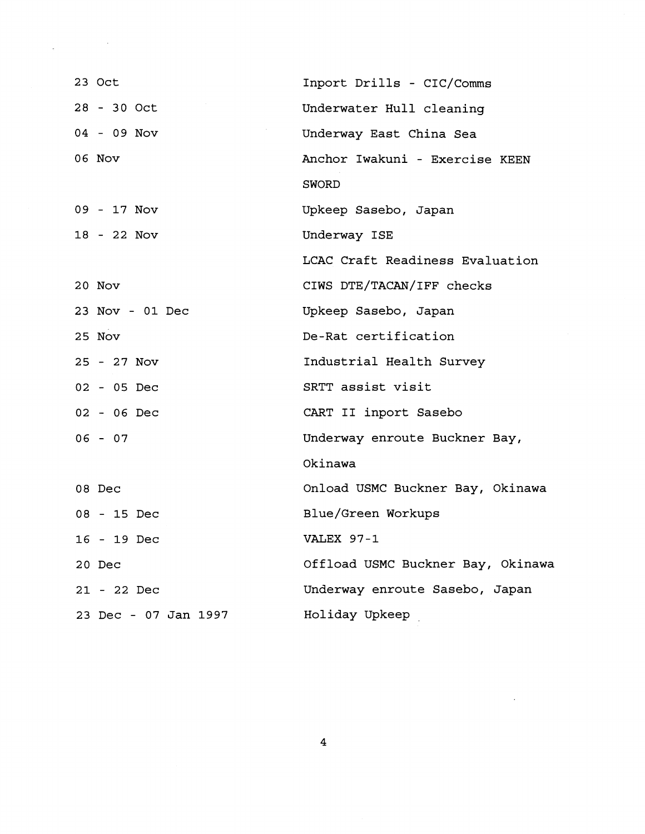| 23 Oct               | Inport Drills - CIC/Comms         |  |
|----------------------|-----------------------------------|--|
| 28 - 30 Oct          | Underwater Hull cleaning          |  |
| 04 - 09 Nov          | Underway East China Sea           |  |
| 06 Nov               | Anchor Iwakuni - Exercise KEEN    |  |
|                      | <b>SWORD</b>                      |  |
| 09 - 17 Nov          | Upkeep Sasebo, Japan              |  |
| 18 - 22 Nov          | Underway ISE                      |  |
|                      | LCAC Craft Readiness Evaluation   |  |
| 20 Nov               | CIWS DTE/TACAN/IFF checks         |  |
| 23 Nov - 01 Dec      | Upkeep Sasebo, Japan              |  |
| 25 Nov               | De-Rat certification              |  |
| 25 - 27 Nov          | Industrial Health Survey          |  |
| 02 - 05 Dec          | SRTT assist visit                 |  |
| 02 - 06 Dec          | CART II inport Sasebo             |  |
| $06 - 07$            | Underway enroute Buckner Bay,     |  |
|                      | Okinawa                           |  |
| 08 Dec               | Onload USMC Buckner Bay, Okinawa  |  |
| 08 - 15 Dec          | Blue/Green Workups                |  |
| 16 - 19 Dec          | VALEX 97-1                        |  |
| 20 Dec               | Offload USMC Buckner Bay, Okinawa |  |
| 21 - 22 Dec          | Underway enroute Sasebo, Japan    |  |
| 23 Dec - 07 Jan 1997 | Holiday Upkeep                    |  |
|                      |                                   |  |

 $\label{eq:2.1} \frac{1}{2} \int_{\mathbb{R}^3} \frac{1}{\sqrt{2\pi}} \int_{\mathbb{R}^3} \frac{1}{\sqrt{2\pi}} \int_{\mathbb{R}^3} \frac{1}{\sqrt{2\pi}} \int_{\mathbb{R}^3} \frac{1}{\sqrt{2\pi}} \int_{\mathbb{R}^3} \frac{1}{\sqrt{2\pi}} \int_{\mathbb{R}^3} \frac{1}{\sqrt{2\pi}} \int_{\mathbb{R}^3} \frac{1}{\sqrt{2\pi}} \int_{\mathbb{R}^3} \frac{1}{\sqrt{2\pi}} \int_{\mathbb{R}^3}$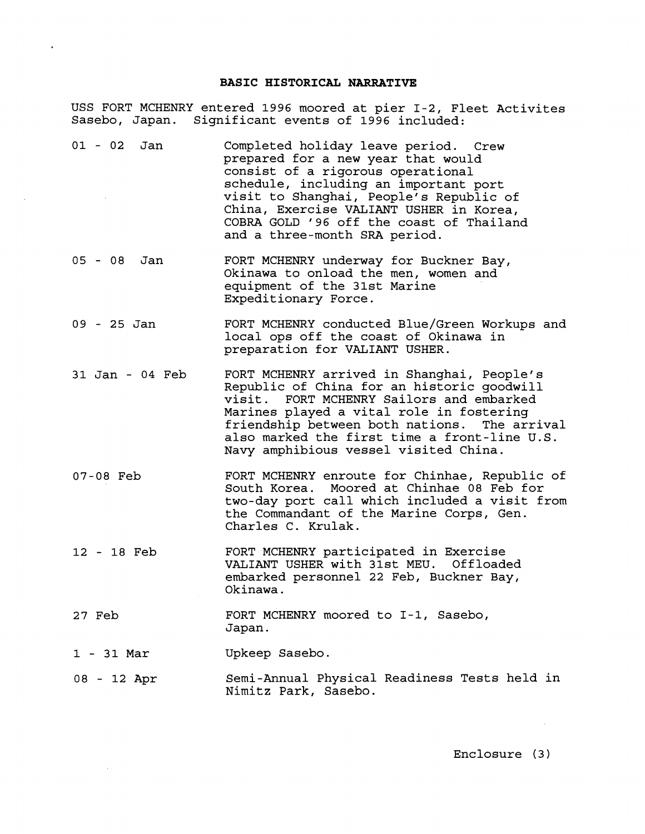## **BASIC HISTORICAL NARRATIVE**

 $\ddot{\phantom{a}}$ 

 $\sim 10^{11}$ 

USS FORT MCHENRY entered 1996 moored at pier 1-2, Fleet Activites Sasebo, Japan. Significant events of 1996 included:

| $01 - 02$ Jan   | Completed holiday leave period. Crew<br>prepared for a new year that would<br>consist of a rigorous operational<br>schedule, including an important port<br>visit to Shanghai, People's Republic of<br>China, Exercise VALIANT USHER in Korea,<br>COBRA GOLD '96 off the coast of Thailand<br>and a three-month SRA period.  |
|-----------------|------------------------------------------------------------------------------------------------------------------------------------------------------------------------------------------------------------------------------------------------------------------------------------------------------------------------------|
| 05 - 08 Jan     | FORT MCHENRY underway for Buckner Bay,<br>Okinawa to onload the men, women and<br>equipment of the 31st Marine<br>Expeditionary Force.                                                                                                                                                                                       |
| 09 - 25 Jan     | FORT MCHENRY conducted Blue/Green Workups and<br>local ops off the coast of Okinawa in<br>preparation for VALIANT USHER.                                                                                                                                                                                                     |
| 31 Jan - 04 Feb | FORT MCHENRY arrived in Shanghai, People's<br>Republic of China for an historic goodwill<br>FORT MCHENRY Sailors and embarked<br>visit.<br>Marines played a vital role in fostering<br>friendship between both nations. The arrival<br>also marked the first time a front-line U.S.<br>Navy amphibious vessel visited China. |
| 07-08 Feb       | FORT MCHENRY enroute for Chinhae, Republic of<br>South Korea. Moored at Chinhae 08 Feb for<br>two-day port call which included a visit from<br>the Commandant of the Marine Corps, Gen.<br>Charles C. Krulak.                                                                                                                |
| 12 - 18 Feb     | FORT MCHENRY participated in Exercise<br>VALIANT USHER with 31st MEU. Offloaded<br>embarked personnel 22 Feb, Buckner Bay,<br>Okinawa.                                                                                                                                                                                       |
| 27 Feb          | FORT MCHENRY moored to I-1, Sasebo,<br>Japan.                                                                                                                                                                                                                                                                                |
| $1 - 31$ Mar    | Upkeep Sasebo.                                                                                                                                                                                                                                                                                                               |
| 08 - 12 Apr     | Semi-Annual Physical Readiness Tests held in<br>Nimitz Park, Sasebo.                                                                                                                                                                                                                                                         |

Enclosure (3)

 $\sim 100$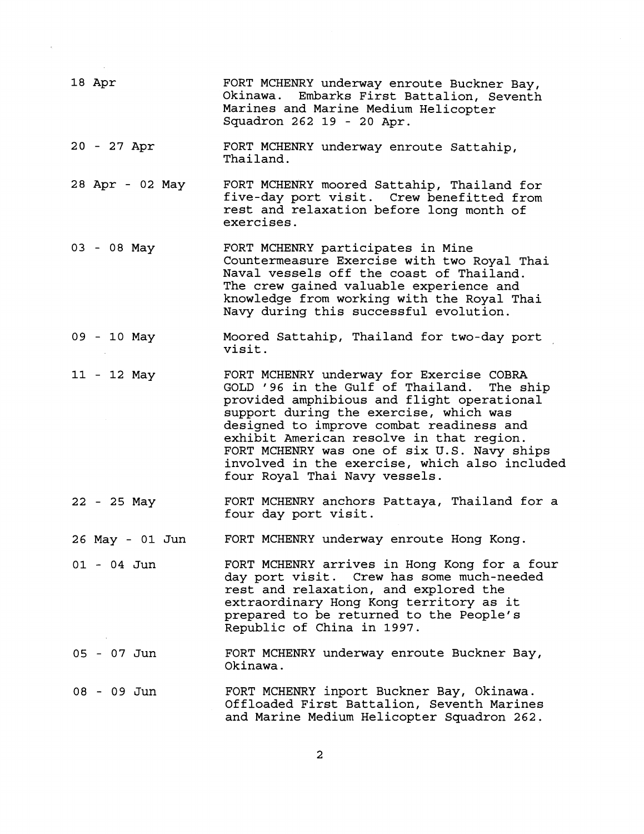| 18 Apr          | FORT MCHENRY underway enroute Buckner Bay,<br>Okinawa. Embarks First Battalion, Seventh<br>Marines and Marine Medium Helicopter<br>Squadron 262 19 - 20 Apr.                                                                                                                                                                                                                                               |
|-----------------|------------------------------------------------------------------------------------------------------------------------------------------------------------------------------------------------------------------------------------------------------------------------------------------------------------------------------------------------------------------------------------------------------------|
| 20 - 27 Apr     | FORT MCHENRY underway enroute Sattahip,<br>Thailand.                                                                                                                                                                                                                                                                                                                                                       |
| 28 Apr - 02 May | FORT MCHENRY moored Sattahip, Thailand for<br>five-day port visit. Crew benefitted from<br>rest and relaxation before long month of<br>exercises.                                                                                                                                                                                                                                                          |
| 03 - 08 May     | FORT MCHENRY participates in Mine<br>Countermeasure Exercise with two Royal Thai<br>Naval vessels off the coast of Thailand.<br>The crew gained valuable experience and<br>knowledge from working with the Royal Thai<br>Navy during this successful evolution.                                                                                                                                            |
| 09 - 10 May     | Moored Sattahip, Thailand for two-day port<br>visit.                                                                                                                                                                                                                                                                                                                                                       |
| 11 - 12 May     | FORT MCHENRY underway for Exercise COBRA<br>GOLD '96 in the Gulf of Thailand.<br>The ship<br>provided amphibious and flight operational<br>support during the exercise, which was<br>designed to improve combat readiness and<br>exhibit American resolve in that region.<br>FORT MCHENRY was one of six U.S. Navy ships<br>involved in the exercise, which also included<br>four Royal Thai Navy vessels. |
| 22 - 25 May     | FORT MCHENRY anchors Pattaya, Thailand for a<br>four day port visit.                                                                                                                                                                                                                                                                                                                                       |
| 26 May - 01 Jun | FORT MCHENRY underway enroute Hong Kong.                                                                                                                                                                                                                                                                                                                                                                   |
| $01 - 04$ Jun   | FORT MCHENRY arrives in Hong Kong for a four<br>day port visit. Crew has some much-needed<br>rest and relaxation, and explored the<br>extraordinary Hong Kong territory as it<br>prepared to be returned to the People's<br>Republic of China in 1997.                                                                                                                                                     |
| 05 - 07 Jun     | FORT MCHENRY underway enroute Buckner Bay,<br>Okinawa.                                                                                                                                                                                                                                                                                                                                                     |
| 08 - 09 Jun     | FORT MCHENRY inport Buckner Bay, Okinawa.<br>Offloaded First Battalion, Seventh Marines<br>and Marine Medium Helicopter Squadron 262.                                                                                                                                                                                                                                                                      |

 $\overline{\mathbf{c}}$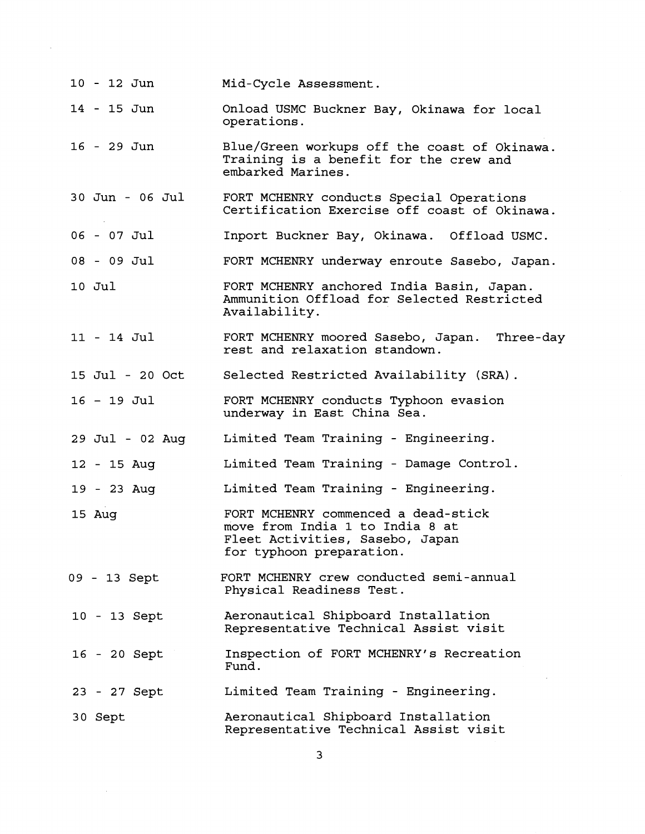| 10 - 12 Jun     | Mid-Cycle Assessment.                                                                                                                 |
|-----------------|---------------------------------------------------------------------------------------------------------------------------------------|
| 14 - 15 Jun     | Onload USMC Buckner Bay, Okinawa for local<br>operations.                                                                             |
| 16 - 29 Jun     | Blue/Green workups off the coast of Okinawa.<br>Training is a benefit for the crew and<br>embarked Marines.                           |
| 30 Jun - 06 Jul | FORT MCHENRY conducts Special Operations<br>Certification Exercise off coast of Okinawa.                                              |
| $06 - 07$ Jul   | Inport Buckner Bay, Okinawa. Offload USMC.                                                                                            |
| $08 - 09$ Jul   | FORT MCHENRY underway enroute Sasebo, Japan.                                                                                          |
| 10 Jul          | FORT MCHENRY anchored India Basin, Japan.<br>Ammunition Offload for Selected Restricted<br>Availability.                              |
| 11 - 14 Jul     | FORT MCHENRY moored Sasebo, Japan. Three-day<br>rest and relaxation standown.                                                         |
| 15 Jul - 20 Oct | Selected Restricted Availability (SRA).                                                                                               |
| 16 - 19 Jul     | FORT MCHENRY conducts Typhoon evasion<br>underway in East China Sea.                                                                  |
| 29 Jul - 02 Aug | Limited Team Training - Engineering.                                                                                                  |
| 12 - 15 Aug     | Limited Team Training - Damage Control.                                                                                               |
| 19 - 23 Aug     | Limited Team Training - Engineering.                                                                                                  |
| 15 Aug          | FORT MCHENRY commenced a dead-stick<br>move from India 1 to India 8 at<br>Fleet Activities, Sasebo, Japan<br>for typhoon preparation. |
| 09 - 13 Sept    | FORT MCHENRY crew conducted semi-annual<br>Physical Readiness Test.                                                                   |
| 10 - 13 Sept    | Aeronautical Shipboard Installation<br>Representative Technical Assist visit                                                          |
| 16 - 20 Sept    | Inspection of FORT MCHENRY's Recreation<br>Fund.                                                                                      |
| 23 - 27 Sept    | Limited Team Training - Engineering.                                                                                                  |
| 30 Sept         | Aeronautical Shipboard Installation<br>Representative Technical Assist visit                                                          |

 $\mathcal{A}$ 

 $\mathcal{A}^{\mathcal{A}}$ 

 $\overline{3}$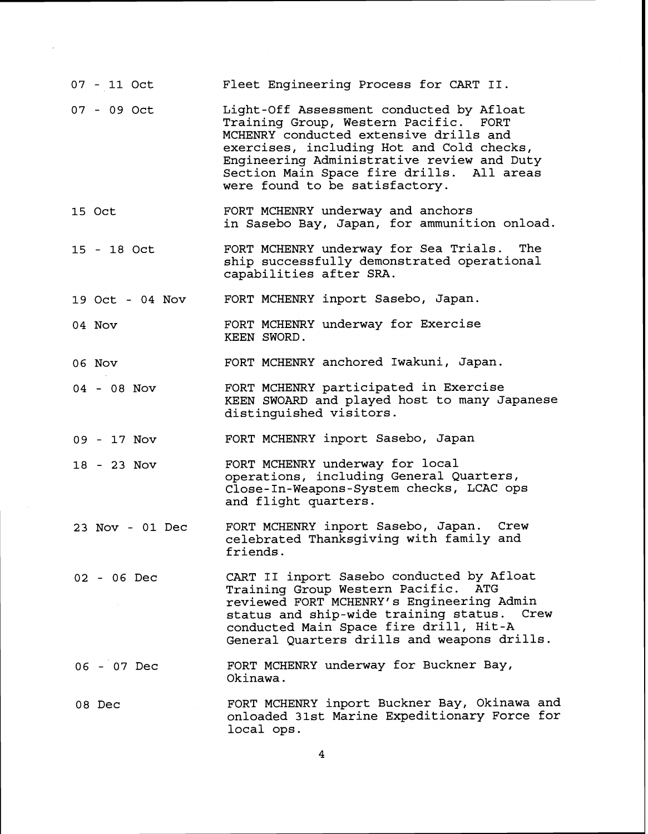|        | 07 - 11 Oct     | Fleet Engineering Process for CART II.                                                                                                                                                                                                                                                                |
|--------|-----------------|-------------------------------------------------------------------------------------------------------------------------------------------------------------------------------------------------------------------------------------------------------------------------------------------------------|
|        | $07 - 09$ Oct   | Light-Off Assessment conducted by Afloat<br>Training Group, Western Pacific. FORT<br>MCHENRY conducted extensive drills and<br>exercises, including Hot and Cold checks,<br>Engineering Administrative review and Duty<br>Section Main Space fire drills. All areas<br>were found to be satisfactory. |
| 15 Oct |                 | FORT MCHENRY underway and anchors<br>in Sasebo Bay, Japan, for ammunition onload.                                                                                                                                                                                                                     |
|        | 15 - 18 Oct     | FORT MCHENRY underway for Sea Trials. The<br>ship successfully demonstrated operational<br>capabilities after SRA.                                                                                                                                                                                    |
|        | 19 Oct - 04 Nov | FORT MCHENRY inport Sasebo, Japan.                                                                                                                                                                                                                                                                    |
| 04 Nov |                 | FORT MCHENRY underway for Exercise<br>KEEN SWORD.                                                                                                                                                                                                                                                     |
| 06 Nov |                 | FORT MCHENRY anchored Iwakuni, Japan.                                                                                                                                                                                                                                                                 |
|        | 04 - 08 Nov     | FORT MCHENRY participated in Exercise<br>KEEN SWOARD and played host to many Japanese<br>distinguished visitors.                                                                                                                                                                                      |
|        | 09 - 17 Nov     | FORT MCHENRY inport Sasebo, Japan                                                                                                                                                                                                                                                                     |
|        | 18 - 23 Nov     | FORT MCHENRY underway for local<br>operations, including General Quarters,<br>Close-In-Weapons-System checks, LCAC ops<br>and flight quarters.                                                                                                                                                        |
|        | 23 Nov - 01 Dec | FORT MCHENRY inport Sasebo, Japan. Crew<br>celebrated Thanksgiving with family and<br>friends.                                                                                                                                                                                                        |
|        | 02 - 06 Dec     | CART II inport Sasebo conducted by Afloat<br>Training Group Western Pacific. ATG<br>reviewed FORT MCHENRY's Engineering Admin<br>status and ship-wide training status. Crew<br>conducted Main Space fire drill, Hit-A<br>General Quarters drills and weapons drills.                                  |
|        | 06 - 07 Dec     | FORT MCHENRY underway for Buckner Bay,<br>Okinawa.                                                                                                                                                                                                                                                    |
|        | 08 Dec          | FORT MCHENRY inport Buckner Bay, Okinawa and<br>onloaded 31st Marine Expeditionary Force for<br>local ops.                                                                                                                                                                                            |

 $\overline{\mathbf{4}}$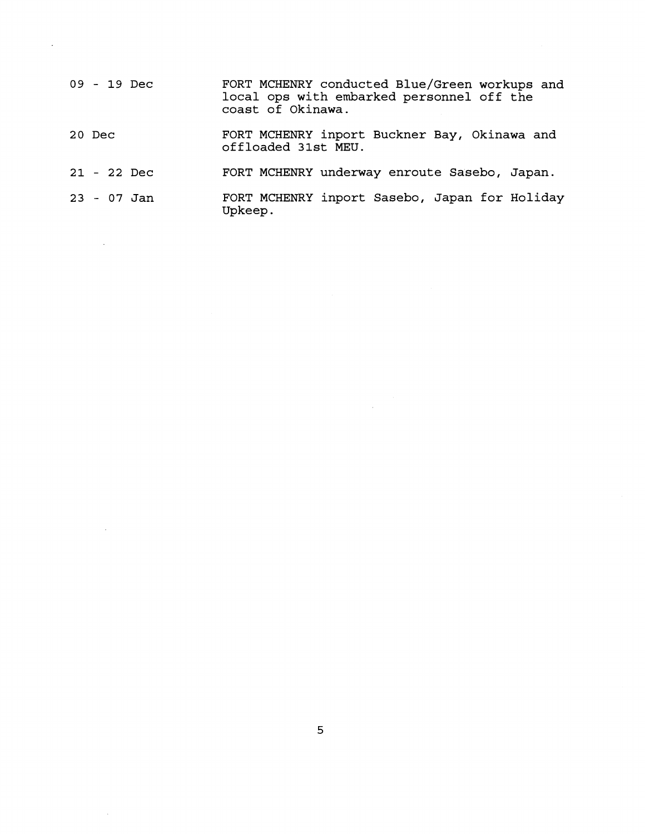| 09 - 19 Dec | FORT MCHENRY conducted Blue/Green workups and<br>local ops with embarked personnel off the<br>coast of Okinawa. |
|-------------|-----------------------------------------------------------------------------------------------------------------|
| 20 Dec      | FORT MCHENRY inport Buckner Bay, Okinawa and<br>offloaded 31st MEU.                                             |
| 21 - 22 Dec | FORT MCHENRY underway enroute Sasebo, Japan.                                                                    |
| 23 - 07 Jan | FORT MCHENRY inport Sasebo, Japan for Holiday                                                                   |

 $\mathcal{L}^{\text{max}}_{\text{max}}$ 

**Upkeep.** 

 $\bar{\mathcal{A}}$ 

 $\sim 10^{11}$  km  $^{-1}$ 

 $\mathcal{L}^{\text{max}}_{\text{max}}$  , where  $\mathcal{L}^{\text{max}}_{\text{max}}$ 

 $\sim 10^7$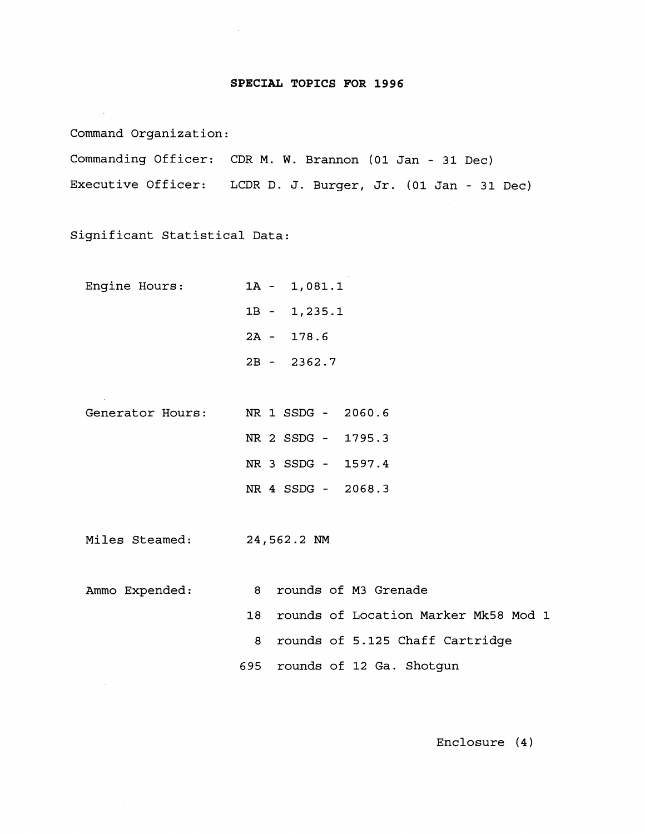### **SPECIAL TOPICS FOR 1996**

Command Organization:

Commanding Officer: CDR M. W. Brannon **(01** Jan - **31** Dec) Executive Officer: LCDR D. J. Burger, Jr. **(01** Jan - **31** Dec)

Significant Statistical Data:

| Engine Hours: | $1A - 1,081.1$ |
|---------------|----------------|
|               | $1B - 1,235.1$ |
|               | $2A - 178.6$   |
|               | $2B - 2362.7$  |

Generator Hours: NR 1 SSDG - **2060.6**  NR 2 SSDG - **1795.3 NR 3** SSDG - **1597.4**  NR **4** SSDG - **2068.3** 

Miles Steamed: 24,562.2 NM

Ammo Expended: 8 rounds of **M3** Grenade **18** rounds of Location Marker Mk58 Mod **1**  8 rounds of 5.125 Chaff Cartridge **695** rou,nds of **12** Ga. Shotgun

Enclosure **(4** )